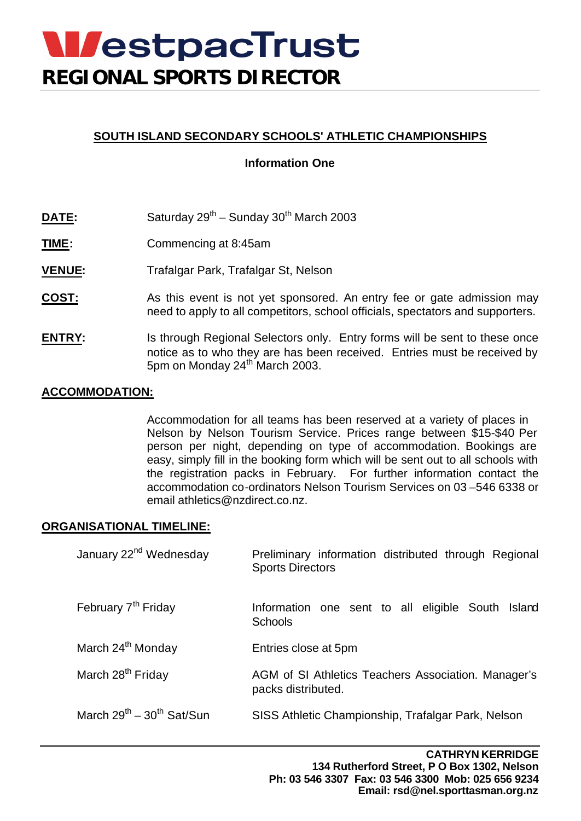# **WestpacTrust REGIONAL SPORTS DIRECTOR**

## **SOUTH ISLAND SECONDARY SCHOOLS' ATHLETIC CHAMPIONSHIPS**

## **Information One**

- **DATE:** Saturday 29<sup>th</sup> Sunday 30<sup>th</sup> March 2003
- **TIME:** Commencing at 8:45am
- **VENUE:** Trafalgar Park, Trafalgar St, Nelson
- **COST:** As this event is not yet sponsored. An entry fee or gate admission may need to apply to all competitors, school officials, spectators and supporters.
- **ENTRY:** Is through Regional Selectors only. Entry forms will be sent to these once notice as to who they are has been received. Entries must be received by 5pm on Monday 24<sup>th</sup> March 2003.

### **ACCOMMODATION:**

Accommodation for all teams has been reserved at a variety of places in Nelson by Nelson Tourism Service. Prices range between \$15-\$40 Per person per night, depending on type of accommodation. Bookings are easy, simply fill in the booking form which will be sent out to all schools with the registration packs in February. For further information contact the accommodation co-ordinators Nelson Tourism Services on 03 –546 6338 or email athletics@nzdirect.co.nz.

#### **ORGANISATIONAL TIMELINE:**

| January 22 <sup>nd</sup> Wednesday | Preliminary information distributed through Regional<br><b>Sports Directors</b> |
|------------------------------------|---------------------------------------------------------------------------------|
| February 7 <sup>th</sup> Friday    | Information one sent to all eligible South Island<br><b>Schools</b>             |
| March 24 <sup>th</sup> Monday      | Entries close at 5pm                                                            |
| March 28 <sup>th</sup> Friday      | AGM of SI Athletics Teachers Association. Manager's<br>packs distributed.       |
| March $29^{th} - 30^{th}$ Sat/Sun  | SISS Athletic Championship, Trafalgar Park, Nelson                              |